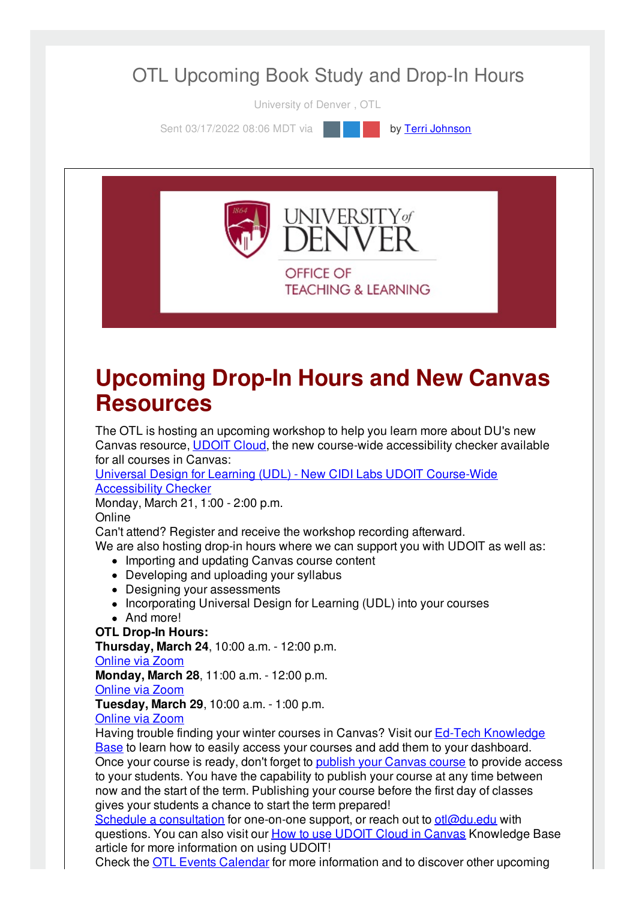

University of Denver , OTL

Sent 03/17/2022 08:06 MDT via **by Terri [Johnson](file:///networks/du/users/1149646)** 



## **Upcoming Drop-In Hours and New Canvas Resources**

The OTL is hosting an upcoming workshop to help you learn more about DU's new Canvas resource, [UDOIT](https://otl.du.edu/knowledgebase/what-is-udoit-cloud/) Cloud, the new course-wide accessibility checker available for all courses in Canvas:

Universal Design for Learning (UDL) - New CIDI Labs UDOIT [Course-Wide](https://otl-events.du.edu/public/registration/5732) Accessibility Checker

Monday, March 21, 1:00 - 2:00 p.m.

#### **Online**

Can't attend? Register and receive the workshop recording afterward.

We are also hosting drop-in hours where we can support you with UDOIT as well as:

- Importing and updating Canvas course content
- Developing and uploading your syllabus
- Designing your assessments
- Incorporating Universal Design for Learning (UDL) into your courses
- And more!
- **OTL Drop-In Hours:**

**Thursday, March 24**, 10:00 a.m. - 12:00 p.m.

#### [Online](https://udenver.zoom.us/my/dutotl) via Zoom

**Monday, March 28**, 11:00 a.m. - 12:00 p.m.

#### [Online](https://udenver.zoom.us/my/dutotl) via Zoom

**Tuesday, March 29**, 10:00 a.m. - 1:00 p.m.

#### [Online](https://udenver.zoom.us/my/dutotl) via Zoom

Having trouble finding your winter courses in Canvas? Visit our **Ed-Tech [Knowledge](https://otl.du.edu/knowledgebase/how-do-i-view-my-upcoming-canvas-courses-as-an-instructor/)** Base to learn how to easily access your courses and add them to your dashboard. Once your course is ready, don't forget to publish your [Canvas](https://community.canvaslms.com/t5/Instructor-Guide/How-do-I-publish-a-course/ta-p/1185) course to provide access to your students. You have the capability to publish your course at any time between now and the start of the term. Publishing your course before the first day of classes gives your students a chance to start the term prepared!

Schedule a [consultation](https://isarsgrid.du.edu/eSARS/OTL/eSARS.asp?WCI=Init&WCE=Settings) for one-on-one support, or reach out to [otl@du.edu](mailto:otl@du.edu) with questions. You can also visit our **How to use UDOIT Cloud in [Canvas](https://otl.du.edu/knowledgebase/how-to-use-udoit-cloud-in-canvas/) Knowledge Base** article for more information on using UDOIT!

Check the OTL Events [Calendar](https://otl-events.du.edu/public/calendar) for more information and to discover other upcoming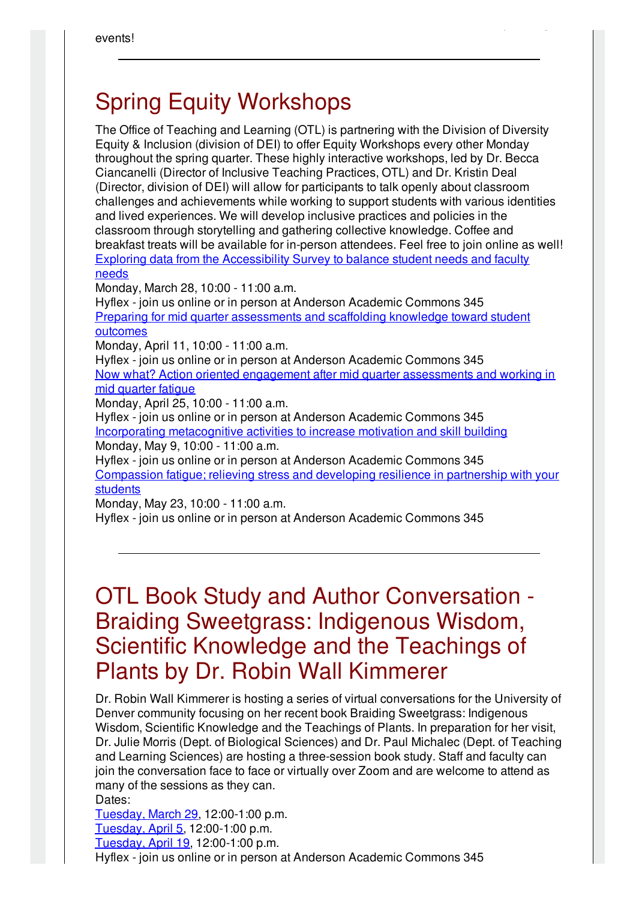# Spring Equity Workshops

The Office of Teaching and Learning (OTL) is partnering with the Division of Diversity Equity & Inclusion (division of DEI) to offer Equity Workshops every other Monday throughout the spring quarter. These highly interactive workshops, led by Dr. Becca Ciancanelli (Director of Inclusive Teaching Practices, OTL) and Dr. Kristin Deal (Director, division of DEI) will allow for participants to talk openly about classroom challenges and achievements while working to support students with various identities and lived experiences. We will develop inclusive practices and policies in the classroom through storytelling and gathering collective knowledge. Coffee and breakfast treats will be available for in-person attendees. Feel free to join online as well! Exploring data from the [Accessibility](https://otl-events.du.edu/public/registration/5818) Survey to balance student needs and faculty needs

 $C_{\rm C}$  the OTL Events Calendar for more information and to discover other upcoming  $\alpha$ 

Monday, March 28, 10:00 - 11:00 a.m.

Hyflex - join us online or in person at Anderson Academic Commons 345 Preparing for mid quarter [assessments](https://otl-events.du.edu/public/registration/5819) and scaffolding knowledge toward student outcomes

Monday, April 11, 10:00 - 11:00 a.m.

Hyflex - join us online or in person at Anderson Academic Commons 345 Now what? Action oriented engagement after mid quarter [assessments](https://otl-events.du.edu/public/registration/5820) and working in mid quarter fatigue

Monday, April 25, 10:00 - 11:00 a.m.

Hyflex - join us online or in person at Anderson Academic Commons 345 Incorporating [metacognitive](https://otl-events.du.edu/public/registration/5821) activities to increase motivation and skill building Monday, May 9, 10:00 - 11:00 a.m.

Hyflex - join us online or in person at Anderson Academic Commons 345 [Compassion](https://otl-events.du.edu/public/registration/5822) fatigue; relieving stress and developing resilience in partnership with your students

Monday, May 23, 10:00 - 11:00 a.m.

Hyflex - join us online or in person at Anderson Academic Commons 345

## OTL Book Study and Author Conversation - Braiding Sweetgrass: Indigenous Wisdom, Scientific Knowledge and the Teachings of Plants by Dr. Robin Wall Kimmerer

Dr. Robin Wall Kimmerer is hosting a series of virtual conversations for the University of Denver community focusing on her recent book Braiding Sweetgrass: Indigenous Wisdom, Scientific Knowledge and the Teachings of Plants. In preparation for her visit, Dr. Julie Morris (Dept. of Biological Sciences) and Dr. Paul Michalec (Dept. of Teaching and Learning Sciences) are hosting a three-session book study. Staff and faculty can join the conversation face to face or virtually over Zoom and are welcome to attend as many of the sessions as they can.

Dates:

[Tuesday,](https://otl-events.du.edu/public/registration/5815) March 29, 12:00-1:00 p.m. [Tuesday,](https://otl-events.du.edu/public/registration/5816) April 5, 12:00-1:00 p.m. [Tuesday,](https://otl-events.du.edu/public/registration/5817) April 19, 12:00-1:00 p.m. Hyflex - join us online or in person at Anderson Academic Commons 345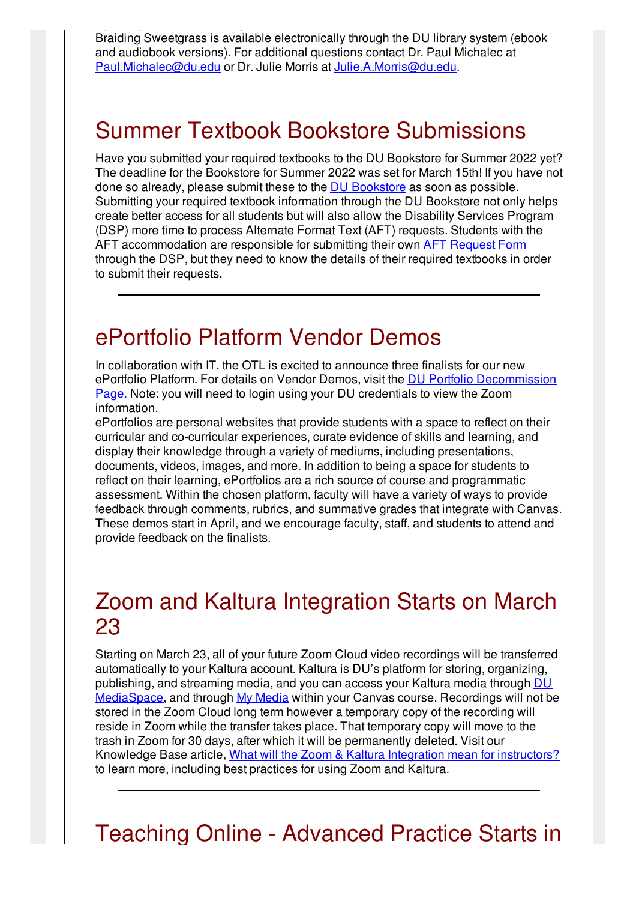Braiding Sweetgrass is available electronically through the DU library system (ebook and audiobook versions). For additional questions contact Dr. Paul Michalec at [Paul.Michalec@du.edu](mailto:Paul.Michalec@du.edu) or Dr. Julie Morris at [Julie.A.Morris@du.edu](mailto:Julie.A.Morris@du.edu).

Hyflex - join us online or in person at Anderson Academic Commons 345

## Summer Textbook Bookstore Submissions

Have you submitted your required textbooks to the DU Bookstore for Summer 2022 yet? The deadline for the Bookstore for Summer 2022 was set for March 15th! If you have not done so already, please submit these to the **DU [Bookstore](https://www.bkstr.com/denverstore/home?kw=du bookstore&AdCampaign=EFOL_1282_Bookstore_Search_NonBrnd_University of Denver_Exact_RLSA&Adgroup=Bookstore&Source=AdWords&gclick=Cj0KCQjw8eOLBhC1ARIsAOzx5cExe6aCrCb4tYHYrL95aRcJNqBpfwKOSHV-IKjHxrLwWBGG3Vs5xXYaAoQYEALw_wcB&cm_mmc=RisePaidSearch-_-Bookstore_RLSA-_-Google-_-1282&gclid=Cj0KCQjw8eOLBhC1ARIsAOzx5cExe6aCrCb4tYHYrL95aRcJNqBpfwKOSHV-IKjHxrLwWBGG3Vs5xXYaAoQYEALw_wcB&gclsrc=aw.ds)** as soon as possible. Submitting your required textbook information through the DU Bookstore not only helps create better access for all students but will also allow the Disability Services Program (DSP) more time to process Alternate Format Text (AFT) requests. Students with the AFT accommodation are responsible for submitting their own AFT [Request](https://www.du.edu/studentlife/disability-services/books.html) Form through the DSP, but they need to know the details of their required textbooks in order to submit their requests.

### ePortfolio Platform Vendor Demos

In collaboration with IT, the OTL is excited to announce three finalists for our new ePortfolio Platform. For details on Vendor Demos, visit the DU Portfolio [Decommission](http://portfolio.du.edu/duportfoliodecom) Page[.](http://portfolio.du.edu/duportfoliodecom) Note: you will need to login using your DU credentials to view the Zoom information.

ePortfolios are personal websites that provide students with a space to reflect on their curricular and co-curricular experiences, curate evidence of skills and learning, and display their knowledge through a variety of mediums, including presentations, documents, videos, images, and more. In addition to being a space for students to reflect on their learning, ePortfolios are a rich source of course and programmatic assessment. Within the chosen platform, faculty will have a variety of ways to provide feedback through comments, rubrics, and summative grades that integrate with Canvas. These demos start in April, and we encourage faculty, staff, and students to attend and provide feedback on the finalists.

# Zoom and Kaltura Integration Starts on March 23

Starting on March 23, all of your future Zoom Cloud video recordings will be transferred automatically to your Kaltura account. Kaltura is DU's platform for storing, organizing, publishing, and streaming media, and you can access your Kaltura media through DU [MediaSpace,](http://mediaspace.du.edu/my-media) and through My [Media](https://otl.du.edu/knowledgebase/kaltura-how-to-share-media-through-canvas-media-gallery/) within your Canvas course. Recordings will not be stored in the Zoom Cloud long term however a temporary copy of the recording will reside in Zoom while the transfer takes place. That temporary copy will move to the trash in Zoom for 30 days, after which it will be permanently deleted. Visit our Knowledge Base article, What will the Zoom & Kaltura Integration mean for [instructors?](https://otl.du.edu/knowledgebase/what-will-the-zoom-kaltura-integration-mean-for-instructors/) to learn more, including best practices for using Zoom and Kaltura.

Teaching Online - Advanced Practice Starts in